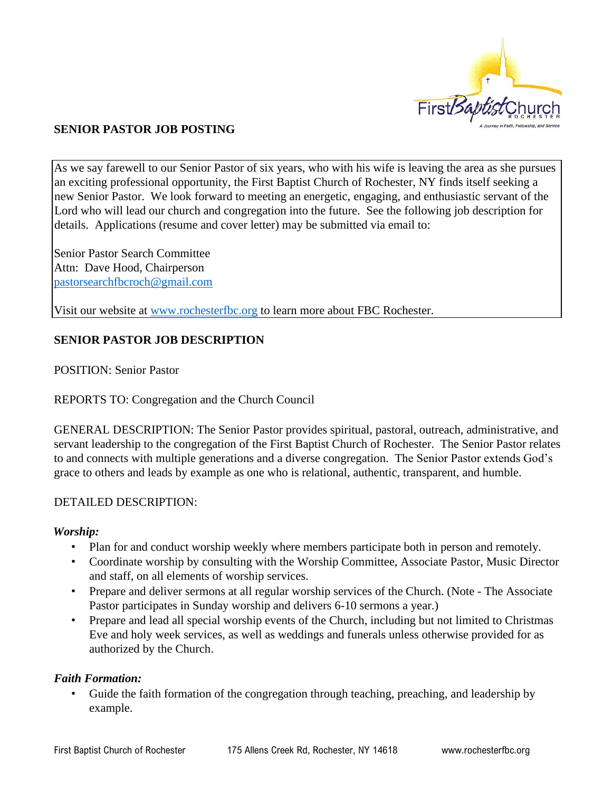

## **SENIOR PASTOR JOB POSTING**

As we say farewell to our Senior Pastor of six years, who with his wife is leaving the area as she pursues an exciting professional opportunity, the First Baptist Church of Rochester, NY finds itself seeking a new Senior Pastor. We look forward to meeting an energetic, engaging, and enthusiastic servant of the Lord who will lead our church and congregation into the future. See the following job description for details. Applications (resume and cover letter) may be submitted via email to:

Senior Pastor Search Committee Attn: Dave Hood, Chairperson [pastorsearchfbcroch@gmail.com](mailto:pastorsearchfbcroch@gmail.com)

Visit our website at [www.rochesterfbc.org](http://www.rochesterfbc.org/) to learn more about FBC Rochester.

### **SENIOR PASTOR JOB DESCRIPTION**

POSITION: Senior Pastor

REPORTS TO: Congregation and the Church Council

GENERAL DESCRIPTION: The Senior Pastor provides spiritual, pastoral, outreach, administrative, and servant leadership to the congregation of the First Baptist Church of Rochester. The Senior Pastor relates to and connects with multiple generations and a diverse congregation. The Senior Pastor extends God's grace to others and leads by example as one who is relational, authentic, transparent, and humble.

#### DETAILED DESCRIPTION:

#### *Worship:*

- Plan for and conduct worship weekly where members participate both in person and remotely.
- Coordinate worship by consulting with the Worship Committee, Associate Pastor, Music Director and staff, on all elements of worship services.
- Prepare and deliver sermons at all regular worship services of the Church. (Note The Associate Pastor participates in Sunday worship and delivers 6-10 sermons a year.)
- Prepare and lead all special worship events of the Church, including but not limited to Christmas Eve and holy week services, as well as weddings and funerals unless otherwise provided for as authorized by the Church.

#### *Faith Formation:*

• Guide the faith formation of the congregation through teaching, preaching, and leadership by example.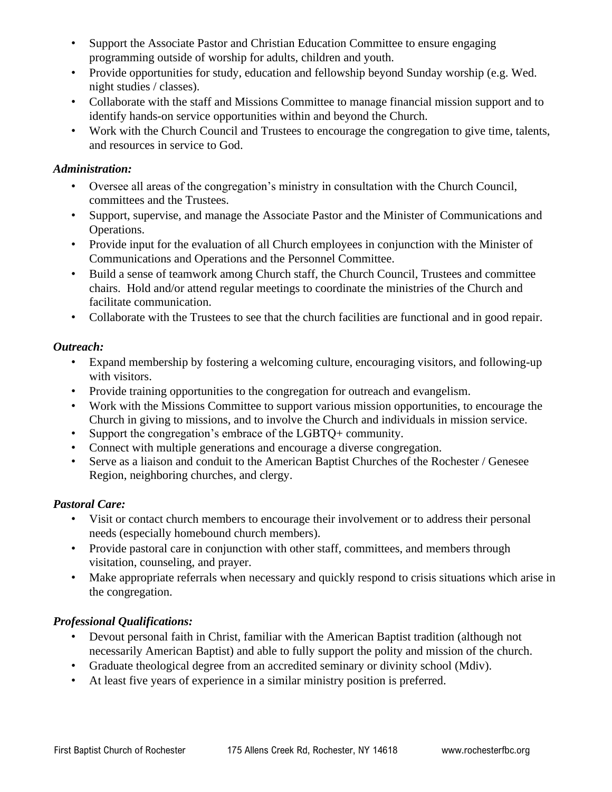- Support the Associate Pastor and Christian Education Committee to ensure engaging programming outside of worship for adults, children and youth.
- Provide opportunities for study, education and fellowship beyond Sunday worship (e.g. Wed. night studies / classes).
- Collaborate with the staff and Missions Committee to manage financial mission support and to identify hands-on service opportunities within and beyond the Church.
- Work with the Church Council and Trustees to encourage the congregation to give time, talents, and resources in service to God.

## *Administration:*

- Oversee all areas of the congregation's ministry in consultation with the Church Council, committees and the Trustees.
- Support, supervise, and manage the Associate Pastor and the Minister of Communications and Operations.
- Provide input for the evaluation of all Church employees in conjunction with the Minister of Communications and Operations and the Personnel Committee.
- Build a sense of teamwork among Church staff, the Church Council, Trustees and committee chairs. Hold and/or attend regular meetings to coordinate the ministries of the Church and facilitate communication.
- Collaborate with the Trustees to see that the church facilities are functional and in good repair.

# *Outreach:*

- Expand membership by fostering a welcoming culture, encouraging visitors, and following-up with visitors.
- Provide training opportunities to the congregation for outreach and evangelism.
- Work with the Missions Committee to support various mission opportunities, to encourage the Church in giving to missions, and to involve the Church and individuals in mission service.
- Support the congregation's embrace of the LGBTQ+ community.
- Connect with multiple generations and encourage a diverse congregation.
- Serve as a liaison and conduit to the American Baptist Churches of the Rochester / Genesee Region, neighboring churches, and clergy.

# *Pastoral Care:*

- Visit or contact church members to encourage their involvement or to address their personal needs (especially homebound church members).
- Provide pastoral care in conjunction with other staff, committees, and members through visitation, counseling, and prayer.
- Make appropriate referrals when necessary and quickly respond to crisis situations which arise in the congregation.

# *Professional Qualifications:*

- Devout personal faith in Christ, familiar with the American Baptist tradition (although not necessarily American Baptist) and able to fully support the polity and mission of the church.
- Graduate theological degree from an accredited seminary or divinity school (Mdiv).
- At least five years of experience in a similar ministry position is preferred.